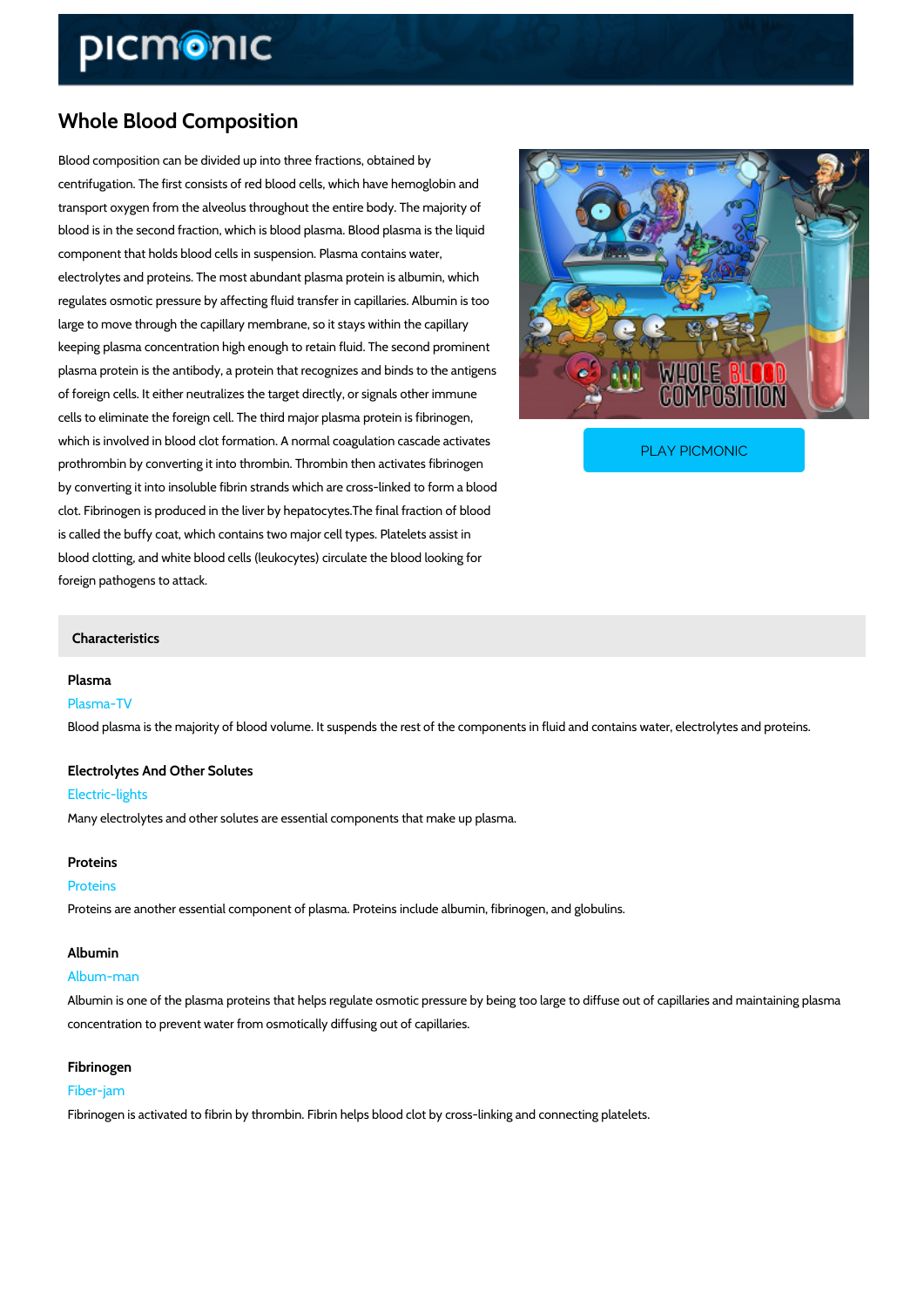# Whole Blood Composition

Blood composition can be divided up into three fractions, obtained by centrifugation. The first consists of red blood cells, which have hemoglobin and transport oxygen from the alveolus throughout the entire body. The majority of blood is in the second fraction, which is blood plasma. Blood plasma is the liquid component that holds blood cells in suspension. Plasma contains water, electrolytes and proteins. The most abundant plasma protein is albumin, which regulates osmotic pressure by affecting fluid transfer in capillaries. Albumin is too large to move through the capillary membrane, so it stays within the capillary keeping plasma concentration high enough to retain fluid. The second prominent plasma protein is the antibody, a protein that recognizes and binds to the antigens of foreign cells. It either neutralizes the target directly, or signals other immune cells to eliminate the foreign cell. The third major plasma protein is fibrinogen,

which is involved in blood clot formation. A normal coagu prothrombin by converting it into thrombin. Thrombin then

PLAY PICMONIC

by converting it into insoluble fibrin strands which are cross-linked to form a blood clot. Fibrinogen is produced in the liver by hepatocytes.The final fraction of blood is called the buffy coat, which contains two major cell types. Platelets assist in blood clotting, and white blood cells (leukocytes) circulate the blood looking for foreign pathogens to attack.

#### Characteristics

#### Plasma

Plasma-TV Blood plasma is the majority of blood volume. It suspends the rest of the components in fluid

Electrolytes And Other Solutes Electric-lights

Many electrolytes and other solutes are essential components that make up plasma.

#### Proteins

#### Proteins

Proteins are another essential component of plasma. Proteins include albumin, fibrinogen, and

#### Albumin

#### Album-man

Albumin is one of the plasma proteins that helps regulate osmotic pressure by being too large concentration to prevent water from osmotically diffusing out of capillaries.

## Fibrinogen

### Fiber-jam

Fibrinogen is activated to fibrin by thrombin. Fibrin helps blood clot by cross-linking and conn